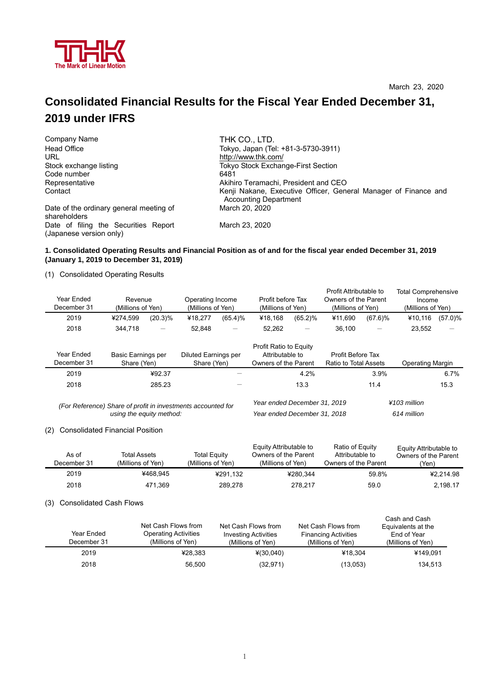

# **Consolidated Financial Results for the Fiscal Year Ended December 31, 2019 under IFRS**

| Company Name                                                    | THK CO., LTD.                                                                                   |  |  |  |  |
|-----------------------------------------------------------------|-------------------------------------------------------------------------------------------------|--|--|--|--|
| Head Office                                                     | Tokyo, Japan (Tel: +81-3-5730-3911)                                                             |  |  |  |  |
| URL                                                             | http://www.thk.com/                                                                             |  |  |  |  |
| Stock exchange listing                                          | Tokyo Stock Exchange-First Section                                                              |  |  |  |  |
| Code number                                                     | 6481                                                                                            |  |  |  |  |
| Representative                                                  | Akihiro Teramachi, President and CEO                                                            |  |  |  |  |
| Contact                                                         | Kenji Nakane, Executive Officer, General Manager of Finance and<br><b>Accounting Department</b> |  |  |  |  |
| Date of the ordinary general meeting of<br>shareholders         | March 20, 2020                                                                                  |  |  |  |  |
| Date of filing the Securities Report<br>(Japanese version only) | March 23, 2020                                                                                  |  |  |  |  |

#### **1. Consolidated Operating Results and Financial Position as of and for the fiscal year ended December 31, 2019 (January 1, 2019 to December 31, 2019)**

(1) Consolidated Operating Results

| Year Ended<br>December 31                                                                | Revenue<br>(Millions of Yen) |                                                                          | Operating Income<br>(Millions of Yen) |                                                                          | Profit before Tax<br>(Millions of Yen) |                                            | Profit Attributable to<br>Owners of the Parent<br>(Millions of Yen) |                               | <b>Total Comprehensive</b><br>Income<br>(Millions of Yen) |                 |
|------------------------------------------------------------------------------------------|------------------------------|--------------------------------------------------------------------------|---------------------------------------|--------------------------------------------------------------------------|----------------------------------------|--------------------------------------------|---------------------------------------------------------------------|-------------------------------|-----------------------------------------------------------|-----------------|
| 2019                                                                                     | ¥274.599                     | $(20.3)\%$                                                               | ¥18.277                               | $(65.4)$ %                                                               | ¥18.168                                | $(65.2)\%$                                 | ¥11.690                                                             | $(67.6)\%$                    | ¥10.116                                                   | $(57.0)\%$      |
| 2018                                                                                     | 344.718                      |                                                                          | 52.848                                | $\qquad \qquad -$                                                        | 52.262                                 | $\qquad \qquad$                            | 36,100                                                              | $\overline{\phantom{m}}$      | 23,552                                                    | $\qquad \qquad$ |
| Year Ended<br>December 31                                                                |                              | Basic Earnings per<br>Diluted Earnings per<br>Share (Yen)<br>Share (Yen) |                                       | <b>Profit Ratio to Equity</b><br>Attributable to<br>Owners of the Parent |                                        | Profit Before Tax<br>Ratio to Total Assets |                                                                     | <b>Operating Margin</b>       |                                                           |                 |
| 2019                                                                                     |                              | ¥92.37                                                                   |                                       |                                                                          |                                        | 4.2%                                       |                                                                     | 3.9%                          |                                                           | 6.7%            |
| 2018                                                                                     |                              | 285.23                                                                   |                                       |                                                                          |                                        | 13.3                                       |                                                                     | 11.4                          |                                                           | 15.3            |
| (For Reference) Share of profit in investments accounted for<br>using the equity method: |                              |                                                                          |                                       | Year ended December 31, 2019<br>Year ended December 31, 2018             |                                        |                                            |                                                                     | $¥103$ million<br>614 million |                                                           |                 |

#### (2) Consolidated Financial Position

| As of<br>December 31 | Total Assets<br>(Millions of Yen) | Total Equity<br>(Millions of Yen) | Equity Attributable to<br>Owners of the Parent<br>(Millions of Yen) | Ratio of Equity<br>Attributable to<br>Owners of the Parent | Equity Attributable to<br>Owners of the Parent<br>'Yen) |
|----------------------|-----------------------------------|-----------------------------------|---------------------------------------------------------------------|------------------------------------------------------------|---------------------------------------------------------|
| 2019                 | ¥468.945                          | ¥291.132                          | ¥280.344                                                            | 59.8%                                                      | ¥2.214.98                                               |
| 2018                 | 471.369                           | 289.278                           | 278.217                                                             | 59.0                                                       | 2.198.17                                                |

(3) Consolidated Cash Flows

| Year Ended<br>December 31 | Net Cash Flows from<br><b>Operating Activities</b><br>(Millions of Yen) | Net Cash Flows from<br><b>Investing Activities</b><br>(Millions of Yen) | Net Cash Flows from<br><b>Financing Activities</b><br>(Millions of Yen) | Cash and Cash<br>Equivalents at the<br>End of Year<br>(Millions of Yen) |
|---------------------------|-------------------------------------------------------------------------|-------------------------------------------------------------------------|-------------------------------------------------------------------------|-------------------------------------------------------------------------|
| 2019                      | ¥28.383                                                                 | $*(30,040)$                                                             | ¥18.304                                                                 | ¥149.091                                                                |
| 2018                      | 56,500                                                                  | (32, 971)                                                               | (13,053)                                                                | 134,513                                                                 |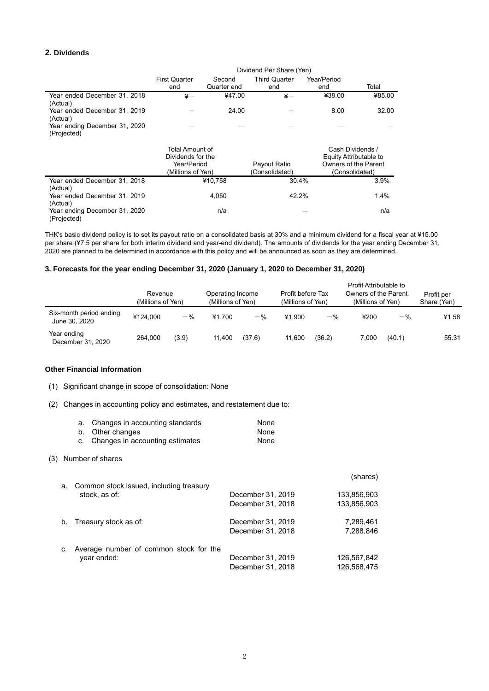# **2. Dividends**

|                                              | <b>First Quarter</b><br>end                                              | Second<br>Quarter end | <b>Third Quarter</b><br>end    | Year/Period<br>end | Total                                                                                |
|----------------------------------------------|--------------------------------------------------------------------------|-----------------------|--------------------------------|--------------------|--------------------------------------------------------------------------------------|
| Year ended December 31, 2018<br>(Actual)     | $\frac{1}{2}$                                                            | ¥47.00                | $\angle$                       | ¥38.00             | ¥85.00                                                                               |
| Year ended December 31, 2019<br>(Actual)     |                                                                          | 24.00                 |                                | 8.00               | 32.00                                                                                |
| Year ending December 31, 2020<br>(Projected) |                                                                          |                       |                                |                    |                                                                                      |
|                                              | Total Amount of<br>Dividends for the<br>Year/Period<br>(Millions of Yen) |                       | Payout Ratio<br>(Consolidated) |                    | Cash Dividends /<br>Equity Attributable to<br>Owners of the Parent<br>(Consolidated) |
| Year ended December 31, 2018<br>(Actual)     | ¥10,758                                                                  |                       | 30.4%                          |                    | 3.9%                                                                                 |
| Year ended December 31, 2019<br>(Actual)     |                                                                          | 4,050                 | 42.2%                          |                    | 1.4%                                                                                 |
| Year ending December 31, 2020<br>(Projected) |                                                                          | n/a                   |                                |                    | n/a                                                                                  |

THK's basic dividend policy is to set its payout ratio on a consolidated basis at 30% and a minimum dividend for a fiscal year at ¥15.00 per share (¥7.5 per share for both interim dividend and year-end dividend). The amounts of dividends for the year ending December 31, 2020 are planned to be determined in accordance with this policy and will be announced as soon as they are determined.

#### **3. Forecasts for the year ending December 31, 2020 (January 1, 2020 to December 31, 2020)**

|                                          | Revenue<br>(Millions of Yen) |       | Operating Income<br>(Millions of Yen) |        | Profit before Tax<br>(Millions of Yen) |        | Profit Attributable to<br>Owners of the Parent<br>(Millions of Yen) |        | Profit per<br>Share (Yen) |
|------------------------------------------|------------------------------|-------|---------------------------------------|--------|----------------------------------------|--------|---------------------------------------------------------------------|--------|---------------------------|
| Six-month period ending<br>June 30, 2020 | ¥124.000                     | $-$ % | ¥1.700                                | $-$ %  | ¥1.900                                 | $-$ %  | ¥200                                                                | $-$ %  | ¥1.58                     |
| Year ending<br>December 31, 2020         | 264.000                      | (3.9) | 11,400                                | (37.6) | 11.600                                 | (36.2) | 7,000                                                               | (40.1) | 55.31                     |

#### **Other Financial Information**

(1) Significant change in scope of consolidation: None

(2) Changes in accounting policy and estimates, and restatement due to:

| a. Changes in accounting standards | None |
|------------------------------------|------|
| b. Other changes                   | None |
| c. Changes in accounting estimates | None |

#### (3) Number of shares

| а. – | Common stock issued, including treasury                  |                                        | (shares)                   |
|------|----------------------------------------------------------|----------------------------------------|----------------------------|
|      | stock, as of:                                            | December 31, 2019<br>December 31, 2018 | 133,856,903<br>133,856,903 |
|      | b. Treasury stock as of:                                 | December 31, 2019<br>December 31, 2018 | 7.289.461<br>7,288,846     |
|      | c. Average number of common stock for the<br>year ended: | December 31, 2019<br>December 31, 2018 | 126,567,842<br>126,568,475 |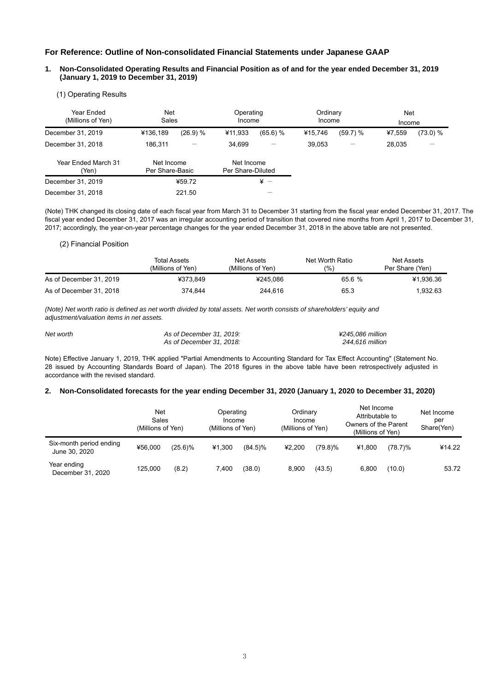# **For Reference: Outline of Non-consolidated Financial Statements under Japanese GAAP**

#### **1. Non-Consolidated Operating Results and Financial Position as of and for the year ended December 31, 2019 (January 1, 2019 to December 31, 2019)**

#### (1) Operating Results

| Year Ended<br>(Millions of Yen) | Net<br>Sales                  |          | Operating<br>Income             |          | Ordinary<br>Income |          | <b>Net</b><br>Income |          |
|---------------------------------|-------------------------------|----------|---------------------------------|----------|--------------------|----------|----------------------|----------|
| December 31, 2019               | ¥136,189                      | (26.9) % | ¥11,933                         | (65.6) % | ¥15,746            | (59.7) % | ¥7.559               | (73.0) % |
| December 31, 2018               | 186.311                       |          | 34.699                          |          | 39.053             |          | 28,035               |          |
| Year Ended March 31<br>(Yen)    | Net Income<br>Per Share-Basic |          | Net Income<br>Per Share-Diluted |          |                    |          |                      |          |
| December 31, 2019               |                               | ¥59.72   | $\frac{1}{2}$ -                 |          |                    |          |                      |          |
| December 31, 2018               |                               | 221.50   |                                 |          |                    |          |                      |          |

(Note) THK changed its closing date of each fiscal year from March 31 to December 31 starting from the fiscal year ended December 31, 2017. The fiscal year ended December 31, 2017 was an irregular accounting period of transition that covered nine months from April 1, 2017 to December 31, 2017; accordingly, the year-on-year percentage changes for the year ended December 31, 2018 in the above table are not presented.

#### (2) Financial Position

|                         | Total Assets<br>(Millions of Yen) |          | Net Worth Ratio<br>(9/6) | Net Assets<br>Per Share (Yen) |
|-------------------------|-----------------------------------|----------|--------------------------|-------------------------------|
| As of December 31, 2019 | ¥373.849                          | ¥245.086 | 65.6 %                   | ¥1.936.36                     |
| As of December 31, 2018 | 374.844                           | 244.616  | 65.3                     | 1.932.63                      |

*(Note) Net worth ratio is defined as net worth divided by total assets. Net worth consists of shareholders' equity and adjustment/valuation items in net assets.* 

| Net worth | As of December 31, 2019: | ¥245.086 million |
|-----------|--------------------------|------------------|
|           | As of December 31, 2018: | 244.616 million  |

Note) Effective January 1, 2019, THK applied "Partial Amendments to Accounting Standard for Tax Effect Accounting" (Statement No. 28 issued by Accounting Standards Board of Japan). The 2018 figures in the above table have been retrospectively adjusted in accordance with the revised standard.

#### **2. Non-Consolidated forecasts for the year ending December 31, 2020 (January 1, 2020 to December 31, 2020)**

|                                          | Net<br>Sales<br>(Millions of Yen) |            |        | Operating<br>Income<br>(Millions of Yen) |        | Ordinary<br>Income<br>(Millions of Yen) |        | Net Income<br>Attributable to<br>Owners of the Parent<br>(Millions of Yen) |        |
|------------------------------------------|-----------------------------------|------------|--------|------------------------------------------|--------|-----------------------------------------|--------|----------------------------------------------------------------------------|--------|
| Six-month period ending<br>June 30, 2020 | ¥56,000                           | $(25.6)\%$ | ¥1,300 | $(84.5)\%$                               | ¥2.200 | $(79.8)\%$                              | ¥1,800 | $(78.7)\%$                                                                 | ¥14.22 |
| Year ending<br>December 31, 2020         | 125.000                           | (8.2)      | 7.400  | (38.0)                                   | 8.900  | (43.5)                                  | 6.800  | (10.0)                                                                     | 53.72  |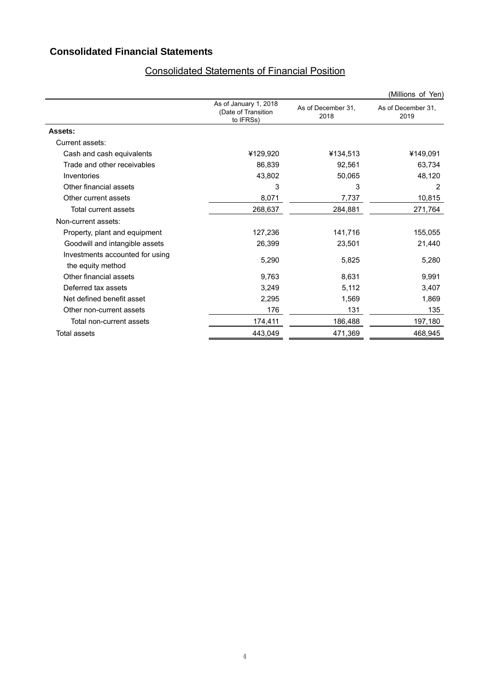# **Consolidated Financial Statements**

|                                                      |                                                           |                            | (Millions of Yen)          |
|------------------------------------------------------|-----------------------------------------------------------|----------------------------|----------------------------|
|                                                      | As of January 1, 2018<br>(Date of Transition<br>to IFRSs) | As of December 31,<br>2018 | As of December 31,<br>2019 |
| Assets:                                              |                                                           |                            |                            |
| Current assets:                                      |                                                           |                            |                            |
| Cash and cash equivalents                            | ¥129,920                                                  | ¥134,513                   | ¥149,091                   |
| Trade and other receivables                          | 86,839                                                    | 92,561                     | 63,734                     |
| Inventories                                          | 43,802                                                    | 50,065                     | 48,120                     |
| Other financial assets                               | 3                                                         | 3                          | 2                          |
| Other current assets                                 | 8,071                                                     | 7,737                      | 10,815                     |
| Total current assets                                 | 268,637                                                   | 284,881                    | 271,764                    |
| Non-current assets:                                  |                                                           |                            |                            |
| Property, plant and equipment                        | 127,236                                                   | 141,716                    | 155,055                    |
| Goodwill and intangible assets                       | 26,399                                                    | 23,501                     | 21,440                     |
| Investments accounted for using<br>the equity method | 5,290                                                     | 5,825                      | 5,280                      |
| Other financial assets                               | 9,763                                                     | 8,631                      | 9,991                      |
| Deferred tax assets                                  | 3,249                                                     | 5,112                      | 3,407                      |
| Net defined benefit asset                            | 2,295                                                     | 1,569                      | 1,869                      |
| Other non-current assets                             | 176                                                       | 131                        | 135                        |
| Total non-current assets                             | 174,411                                                   | 186,488                    | 197, 180                   |
| <b>Total assets</b>                                  | 443,049                                                   | 471,369                    | 468,945                    |

# Consolidated Statements of Financial Position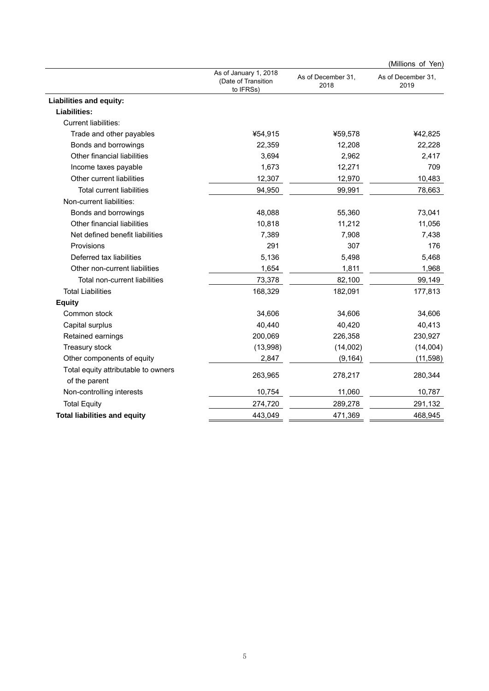|                                                      |                                                           |                            | (Millions of Yen)          |
|------------------------------------------------------|-----------------------------------------------------------|----------------------------|----------------------------|
|                                                      | As of January 1, 2018<br>(Date of Transition<br>to IFRSs) | As of December 31,<br>2018 | As of December 31,<br>2019 |
| <b>Liabilities and equity:</b>                       |                                                           |                            |                            |
| <b>Liabilities:</b>                                  |                                                           |                            |                            |
| <b>Current liabilities:</b>                          |                                                           |                            |                            |
| Trade and other payables                             | ¥54,915                                                   | ¥59,578                    | ¥42,825                    |
| Bonds and borrowings                                 | 22,359                                                    | 12,208                     | 22,228                     |
| Other financial liabilities                          | 3,694                                                     | 2,962                      | 2,417                      |
| Income taxes payable                                 | 1,673                                                     | 12,271                     | 709                        |
| Other current liabilities                            | 12,307                                                    | 12,970                     | 10,483                     |
| <b>Total current liabilities</b>                     | 94,950                                                    | 99,991                     | 78,663                     |
| Non-current liabilities:                             |                                                           |                            |                            |
| Bonds and borrowings                                 | 48,088                                                    | 55,360                     | 73,041                     |
| Other financial liabilities                          | 10,818                                                    | 11,212                     | 11,056                     |
| Net defined benefit liabilities                      | 7,389                                                     | 7,908                      | 7,438                      |
| Provisions                                           | 291                                                       | 307                        | 176                        |
| Deferred tax liabilities                             | 5,136                                                     | 5,498                      | 5,468                      |
| Other non-current liabilities                        | 1,654                                                     | 1,811                      | 1,968                      |
| Total non-current liabilities                        | 73,378                                                    | 82,100                     | 99,149                     |
| <b>Total Liabilities</b>                             | 168,329                                                   | 182,091                    | 177,813                    |
| <b>Equity</b>                                        |                                                           |                            |                            |
| Common stock                                         | 34,606                                                    | 34,606                     | 34,606                     |
| Capital surplus                                      | 40,440                                                    | 40,420                     | 40,413                     |
| Retained earnings                                    | 200,069                                                   | 226,358                    | 230,927                    |
| Treasury stock                                       | (13,998)                                                  | (14,002)                   | (14,004)                   |
| Other components of equity                           | 2,847                                                     | (9, 164)                   | (11, 598)                  |
| Total equity attributable to owners<br>of the parent | 263,965                                                   | 278,217                    | 280,344                    |
| Non-controlling interests                            | 10,754                                                    | 11,060                     | 10,787                     |
| <b>Total Equity</b>                                  | 274,720                                                   | 289,278                    | 291,132                    |
| <b>Total liabilities and equity</b>                  | 443,049                                                   | 471,369                    | 468,945                    |
|                                                      |                                                           |                            |                            |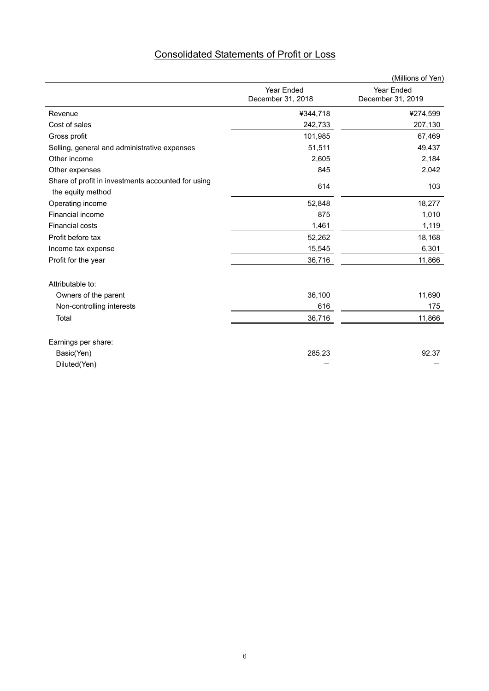|                                                                         |                                 | (Millions of Yen)               |
|-------------------------------------------------------------------------|---------------------------------|---------------------------------|
|                                                                         | Year Ended<br>December 31, 2018 | Year Ended<br>December 31, 2019 |
| Revenue                                                                 | ¥344,718                        | ¥274,599                        |
| Cost of sales                                                           | 242,733                         | 207,130                         |
| Gross profit                                                            | 101,985                         | 67,469                          |
| Selling, general and administrative expenses                            | 51,511                          | 49,437                          |
| Other income                                                            | 2,605                           | 2,184                           |
| Other expenses                                                          | 845                             | 2,042                           |
| Share of profit in investments accounted for using<br>the equity method | 614                             | 103                             |
| Operating income                                                        | 52,848                          | 18,277                          |
| Financial income                                                        | 875                             | 1,010                           |
| <b>Financial costs</b>                                                  | 1,461                           | 1,119                           |
| Profit before tax                                                       | 52,262                          | 18,168                          |
| Income tax expense                                                      | 15,545                          | 6,301                           |
| Profit for the year                                                     | 36,716                          | 11,866                          |
| Attributable to:                                                        |                                 |                                 |
| Owners of the parent                                                    | 36,100                          | 11,690                          |
| Non-controlling interests                                               | 616                             | 175                             |
| Total                                                                   | 36,716                          | 11,866                          |
| Earnings per share:                                                     |                                 |                                 |
| Basic(Yen)                                                              | 285.23                          | 92.37                           |
| Diluted(Yen)                                                            |                                 |                                 |

# Consolidated Statements of Profit or Loss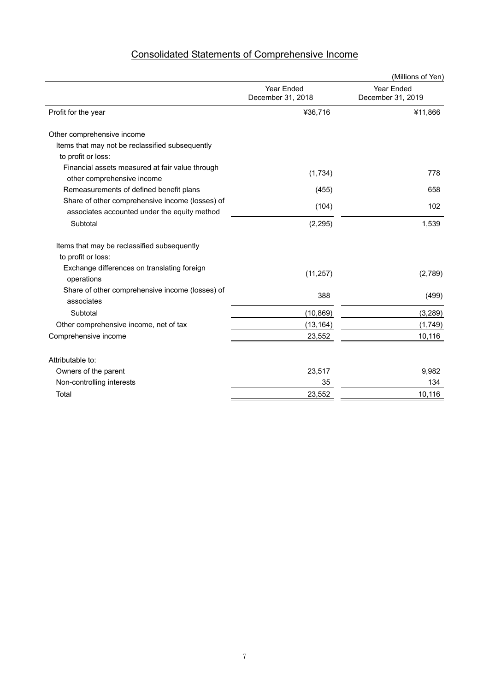# Consolidated Statements of Comprehensive Income

|                                                                                                 |                                 | (Millions of Yen)               |
|-------------------------------------------------------------------------------------------------|---------------------------------|---------------------------------|
|                                                                                                 | Year Ended<br>December 31, 2018 | Year Ended<br>December 31, 2019 |
| Profit for the year                                                                             | ¥36,716                         | ¥11,866                         |
| Other comprehensive income                                                                      |                                 |                                 |
| Items that may not be reclassified subsequently                                                 |                                 |                                 |
| to profit or loss:                                                                              |                                 |                                 |
| Financial assets measured at fair value through<br>other comprehensive income                   | (1,734)                         | 778                             |
| Remeasurements of defined benefit plans                                                         | (455)                           | 658                             |
| Share of other comprehensive income (losses) of<br>associates accounted under the equity method | (104)                           | 102                             |
| Subtotal                                                                                        | (2, 295)                        | 1,539                           |
| Items that may be reclassified subsequently                                                     |                                 |                                 |
| to profit or loss:                                                                              |                                 |                                 |
| Exchange differences on translating foreign<br>operations                                       | (11, 257)                       | (2,789)                         |
| Share of other comprehensive income (losses) of<br>associates                                   | 388                             | (499)                           |
| Subtotal                                                                                        | (10, 869)                       | (3,289)                         |
| Other comprehensive income, net of tax                                                          | (13, 164)                       | (1,749)                         |
| Comprehensive income                                                                            | 23,552                          | 10,116                          |
| Attributable to:                                                                                |                                 |                                 |
| Owners of the parent                                                                            | 23,517                          | 9,982                           |
| Non-controlling interests                                                                       | 35                              | 134                             |
| Total                                                                                           | 23,552                          | 10,116                          |
|                                                                                                 |                                 |                                 |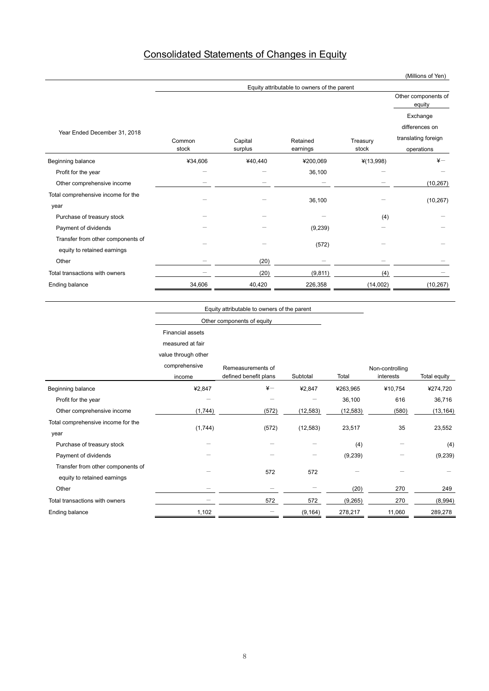# Consolidated Statements of Changes in Equity

|                                    | Equity attributable to owners of the parent |         |          |             |                               |  |
|------------------------------------|---------------------------------------------|---------|----------|-------------|-------------------------------|--|
|                                    |                                             |         |          |             | Other components of<br>equity |  |
|                                    |                                             |         |          |             | Exchange                      |  |
|                                    |                                             |         |          |             | differences on                |  |
| Year Ended December 31, 2018       | Common                                      | Capital | Retained | Treasury    | translating foreign           |  |
|                                    | stock                                       | surplus | earnings | stock       | operations                    |  |
| Beginning balance                  | ¥34,606                                     | ¥40,440 | ¥200,069 | $*(13,998)$ | $\frac{1}{2}$                 |  |
| Profit for the year                |                                             | -       | 36,100   |             |                               |  |
| Other comprehensive income         |                                             |         |          |             | (10, 267)                     |  |
| Total comprehensive income for the |                                             |         |          |             |                               |  |
| year                               |                                             |         | 36,100   |             | (10, 267)                     |  |
| Purchase of treasury stock         |                                             |         |          | (4)         |                               |  |
| Payment of dividends               |                                             |         | (9,239)  |             |                               |  |
| Transfer from other components of  |                                             |         |          |             |                               |  |
| equity to retained earnings        |                                             |         | (572)    |             |                               |  |
| Other                              |                                             | (20)    |          |             |                               |  |
| Total transactions with owners     |                                             | (20)    | (9, 811) | (4)         |                               |  |
| <b>Ending balance</b>              | 34,606                                      | 40,420  | 226,358  | (14,002)    | (10, 267)                     |  |

Equity attributable to owners of the parent

Other components of equity

Financial assets

measured at fair

value through other

|                                    | comprehensive | Remeasurements of        |           |           | Non-controlling |              |
|------------------------------------|---------------|--------------------------|-----------|-----------|-----------------|--------------|
|                                    | income        | defined benefit plans    | Subtotal  | Total     | interests       | Total equity |
| Beginning balance                  | ¥2,847        | $\angle +$               | ¥2,847    | ¥263,965  | ¥10,754         | ¥274,720     |
| Profit for the year                |               | $\overline{\phantom{0}}$ | —         | 36,100    | 616             | 36,716       |
| Other comprehensive income         | (1,744)       | (572)                    | (12, 583) | (12, 583) | (580)           | (13, 164)    |
| Total comprehensive income for the |               | (572)                    |           | 23,517    | 35              |              |
| year                               | (1,744)       |                          | (12, 583) |           |                 | 23,552       |
| Purchase of treasury stock         |               |                          |           | (4)       |                 | (4)          |
| Payment of dividends               |               |                          |           | (9,239)   |                 | (9,239)      |
| Transfer from other components of  |               | 572                      | 572       |           |                 |              |
| equity to retained earnings        |               |                          |           |           |                 |              |
| Other                              |               |                          |           | (20)      | 270             | 249          |
| Total transactions with owners     |               | 572                      | 572       | (9,265)   | 270             | (8,994)      |
| Ending balance                     | 1,102         |                          | (9, 164)  | 278,217   | 11,060          | 289,278      |

#### (Millions of Yen)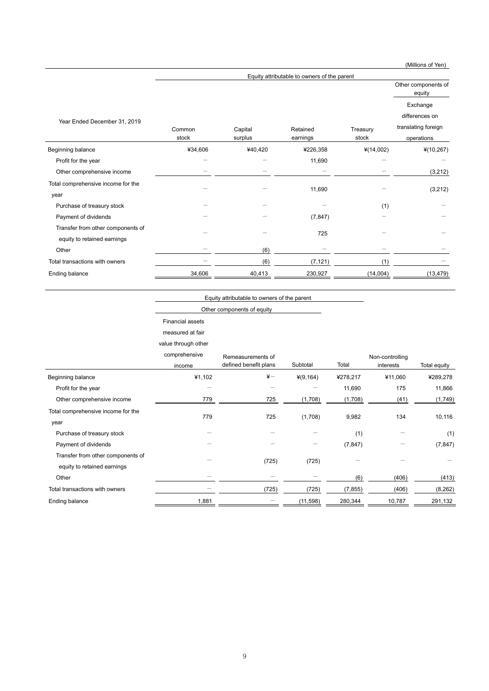|                                                                  |         |         |                                             |             | (Millions of Yen)                                 |
|------------------------------------------------------------------|---------|---------|---------------------------------------------|-------------|---------------------------------------------------|
|                                                                  |         |         | Equity attributable to owners of the parent |             |                                                   |
|                                                                  |         |         |                                             |             | Other components of<br>equity                     |
| Year Ended December 31, 2019                                     | Common  | Capital | Retained                                    | Treasury    | Exchange<br>differences on<br>translating foreign |
|                                                                  | stock   | surplus | earnings                                    | stock       | operations                                        |
| Beginning balance                                                | ¥34,606 | ¥40,420 | ¥226,358                                    | $*(14,002)$ | $*(10, 267)$                                      |
| Profit for the year                                              |         |         | 11,690                                      |             |                                                   |
| Other comprehensive income                                       |         |         |                                             |             | (3,212)                                           |
| Total comprehensive income for the<br>year                       |         |         | 11,690                                      |             | (3,212)                                           |
| Purchase of treasury stock                                       |         |         |                                             | (1)         |                                                   |
| Payment of dividends                                             |         |         | (7, 847)                                    |             |                                                   |
| Transfer from other components of<br>equity to retained earnings |         |         | 725                                         |             |                                                   |
| Other                                                            |         | (6)     |                                             |             |                                                   |
| Total transactions with owners                                   |         | (6)     | (7, 121)                                    | (1)         |                                                   |
| Ending balance                                                   | 34,606  | 40,413  | 230,927                                     | (14,004)    | (13, 479)                                         |

**Equity attributable to owners of the parent** 

Other components of equity

Financial assets

measured at fair

value through other

|                                                                  | comprehensive<br>income | Remeasurements of<br>defined benefit plans | Subtotal  | Total    | Non-controlling<br>interests | Total equity |
|------------------------------------------------------------------|-------------------------|--------------------------------------------|-----------|----------|------------------------------|--------------|
| Beginning balance                                                | ¥1,102                  | $\frac{1}{2}$                              | ¥(9,164)  | ¥278,217 | ¥11,060                      | ¥289,278     |
| Profit for the year                                              | -                       |                                            |           | 11,690   | 175                          | 11,866       |
| Other comprehensive income                                       | 779                     | 725                                        | (1,708)   | (1,708)  | (41)                         | (1,749)      |
| Total comprehensive income for the                               |                         |                                            |           |          |                              |              |
| year                                                             | 779                     | 725                                        | (1,708)   | 9,982    | 134                          | 10,116       |
| Purchase of treasury stock                                       |                         |                                            |           | (1)      |                              | (1)          |
| Payment of dividends                                             |                         |                                            |           | (7, 847) |                              | (7, 847)     |
| Transfer from other components of<br>equity to retained earnings |                         | (725)                                      | (725)     |          |                              |              |
| Other                                                            |                         |                                            |           | (6)      | (406)                        | (413)        |
| Total transactions with owners                                   |                         | (725)                                      | (725)     | (7, 855) | (406)                        | (8, 262)     |
| Ending balance                                                   | 1,881                   |                                            | (11, 598) | 280,344  | 10,787                       | 291,132      |

9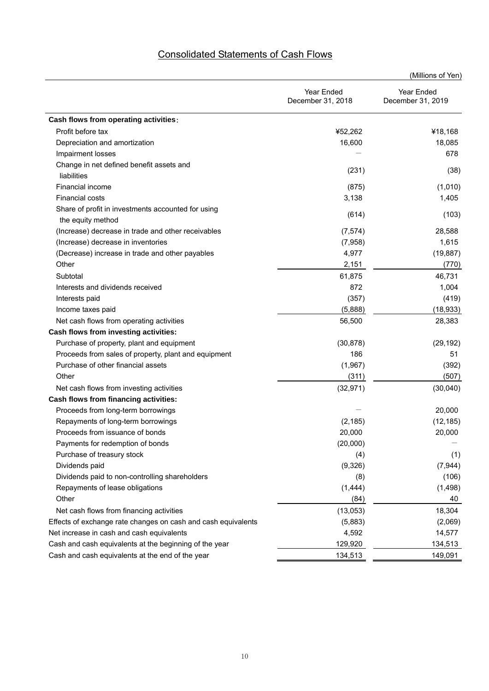| <b>Consolidated Statements of Cash Flows</b> |  |  |
|----------------------------------------------|--|--|
|                                              |  |  |

**Cash flows from operating activities**:

|       | Year Ended<br>December 31, 2018 | Year Ended<br>December 31, 2019 |  |  |
|-------|---------------------------------|---------------------------------|--|--|
|       | ¥52,262                         | ¥18,168                         |  |  |
|       | 16,600                          | 18,085                          |  |  |
|       |                                 | 678                             |  |  |
|       | (231)                           | (38)                            |  |  |
|       | (875)                           | (1,010)                         |  |  |
|       | 3,138                           | 1,405                           |  |  |
| ısing | (614)                           | (103)                           |  |  |
| ables | (7, 574)                        | 28,588                          |  |  |
|       | (7,958)                         | 1,615                           |  |  |
| ١les  | 4,977                           | (19, 887)                       |  |  |
|       | 2,151                           | (770)                           |  |  |

(Millions of Yen)

| Profit before tax                                                       | ¥52,262   | ¥18,168   |
|-------------------------------------------------------------------------|-----------|-----------|
| Depreciation and amortization                                           | 16,600    | 18,085    |
| Impairment losses                                                       |           | 678       |
| Change in net defined benefit assets and<br>liabilities                 | (231)     | (38)      |
| Financial income                                                        | (875)     | (1,010)   |
| <b>Financial costs</b>                                                  | 3,138     | 1,405     |
| Share of profit in investments accounted for using<br>the equity method | (614)     | (103)     |
| (Increase) decrease in trade and other receivables                      | (7, 574)  | 28,588    |
| (Increase) decrease in inventories                                      | (7,958)   | 1,615     |
| (Decrease) increase in trade and other payables                         | 4,977     | (19, 887) |
| Other                                                                   | 2,151     | (770)     |
| Subtotal                                                                | 61,875    | 46,731    |
| Interests and dividends received                                        | 872       | 1,004     |
| Interests paid                                                          | (357)     | (419)     |
| Income taxes paid                                                       | (5,888)   | (18, 933) |
| Net cash flows from operating activities                                | 56,500    | 28,383    |
| Cash flows from investing activities:                                   |           |           |
| Purchase of property, plant and equipment                               | (30, 878) | (29, 192) |
| Proceeds from sales of property, plant and equipment                    | 186       | 51        |
| Purchase of other financial assets                                      | (1,967)   | (392)     |
| Other                                                                   | (311)     | (507)     |
| Net cash flows from investing activities                                | (32, 971) | (30,040)  |
| Cash flows from financing activities:                                   |           |           |
| Proceeds from long-term borrowings                                      |           | 20,000    |
| Repayments of long-term borrowings                                      | (2, 185)  | (12, 185) |
| Proceeds from issuance of bonds                                         | 20,000    | 20,000    |
| Payments for redemption of bonds                                        | (20,000)  |           |
| Purchase of treasury stock                                              | (4)       | (1)       |
| Dividends paid                                                          | (9,326)   | (7, 944)  |
| Dividends paid to non-controlling shareholders                          | (8)       | (106)     |
| Repayments of lease obligations                                         | (1, 444)  | (1, 498)  |
| Other                                                                   | (84)      | 40        |
| Net cash flows from financing activities                                | (13,053)  | 18,304    |
| Effects of exchange rate changes on cash and cash equivalents           | (5,883)   | (2,069)   |
| Net increase in cash and cash equivalents                               | 4,592     | 14,577    |
| Cash and cash equivalents at the beginning of the year                  | 129,920   | 134,513   |
| Cash and cash equivalents at the end of the year                        | 134,513   | 149,091   |
|                                                                         |           |           |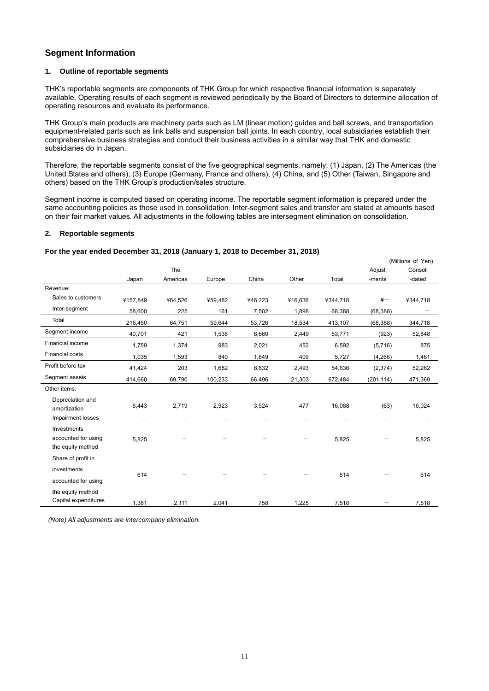# **Segment Information**

#### **1. Outline of reportable segments**

THK's reportable segments are components of THK Group for which respective financial information is separately available. Operating results of each segment is reviewed periodically by the Board of Directors to determine allocation of operating resources and evaluate its performance.

THK Group's main products are machinery parts such as LM (linear motion) guides and ball screws, and transportation equipment-related parts such as link balls and suspension ball joints. In each country, local subsidiaries establish their comprehensive business strategies and conduct their business activities in a similar way that THK and domestic subsidiaries do in Japan.

Therefore, the reportable segments consist of the five geographical segments, namely; (1) Japan, (2) The Americas (the United States and others), (3) Europe (Germany, France and others), (4) China, and (5) Other (Taiwan, Singapore and others) based on the THK Group's production/sales structure.

Segment income is computed based on operating income. The reportable segment information is prepared under the same accounting policies as those used in consolidation. Inter-segment sales and transfer are stated at amounts based on their fair market values. All adjustments in the following tables are intersegment elimination on consolidation.

#### **2. Reportable segments**

|                                                         |                                   |                                   |                                   |                            |         |          |               | (Millions of Yen) |
|---------------------------------------------------------|-----------------------------------|-----------------------------------|-----------------------------------|----------------------------|---------|----------|---------------|-------------------|
|                                                         |                                   | The                               |                                   |                            |         |          | Adjust        | Consoli           |
|                                                         | Japan                             | Americas                          | Europe                            | China                      | Other   | Total    | -ments        | -dated            |
| Revenue:                                                |                                   |                                   |                                   |                            |         |          |               |                   |
| Sales to customers                                      | ¥157,849                          | ¥64,526                           | ¥59,482                           | ¥46,223                    | ¥16,636 | ¥344,718 | $\frac{1}{2}$ | ¥344,718          |
| Inter-segment                                           | 58,600                            | 225                               | 161                               | 7,502                      | 1,898   | 68,388   | (68, 388)     |                   |
| Total                                                   | 216,450                           | 64,751                            | 59,644                            | 53,726                     | 18,534  | 413,107  | (68, 388)     | 344,718           |
| Segment income                                          | 40,701                            | 421                               | 1,538                             | 8,660                      | 2,449   | 53,771   | (923)         | 52,848            |
| Financial income                                        | 1,759                             | 1,374                             | 983                               | 2,021                      | 452     | 6,592    | (5,716)       | 875               |
| <b>Financial costs</b>                                  | 1,035                             | 1,593                             | 840                               | 1,849                      | 409     | 5,727    | (4, 266)      | 1,461             |
| Profit before tax                                       | 41,424                            | 203                               | 1,682                             | 8,832                      | 2,493   | 54,636   | (2, 374)      | 52,262            |
| Segment assets                                          | 414,660                           | 69,790                            | 100,233                           | 66,496                     | 21,303  | 672,484  | (201, 114)    | 471,369           |
| Other items:                                            |                                   |                                   |                                   |                            |         |          |               |                   |
| Depreciation and<br>amortization<br>Impairment losses   | 6,443<br>$\overline{\phantom{0}}$ | 2,719<br>$\overline{\phantom{0}}$ | 2,923<br>$\overline{\phantom{m}}$ | 3,524<br>$\qquad \qquad -$ | 477     | 16,088   | (63)          | 16,024            |
| Investments<br>accounted for using<br>the equity method | 5,825                             |                                   |                                   |                            |         | 5,825    |               | 5,825             |
| Share of profit in                                      |                                   |                                   |                                   |                            |         |          |               |                   |
| investments                                             | 614                               |                                   |                                   |                            |         | 614      |               | 614               |
| accounted for using                                     |                                   |                                   |                                   |                            |         |          |               |                   |
| the equity method<br>Capital expenditures               | 1,381                             | 2,111                             | 2,041                             | 758                        | 1,225   | 7,518    |               | 7,518             |

#### **For the year ended December 31, 2018 (January 1, 2018 to December 31, 2018)**

 *(Note) All adjustments are intercompany elimination.*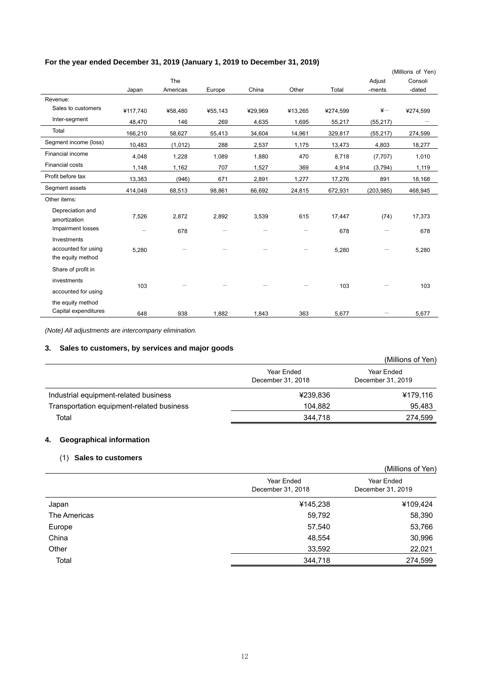|                                                         |                          |          |         |         |         |          |                 | (Millions of Yen) |
|---------------------------------------------------------|--------------------------|----------|---------|---------|---------|----------|-----------------|-------------------|
|                                                         |                          | The      |         |         |         |          | Adjust          | Consoli           |
|                                                         | Japan                    | Americas | Europe  | China   | Other   | Total    | -ments          | -dated            |
| Revenue:                                                |                          |          |         |         |         |          |                 |                   |
| Sales to customers                                      | ¥117,740                 | ¥58,480  | ¥55,143 | ¥29,969 | ¥13,265 | ¥274,599 | $\frac{1}{2}$   | ¥274,599          |
| Inter-segment                                           | 48,470                   | 146      | 269     | 4,635   | 1,695   | 55,217   | (55, 217)       |                   |
| Total                                                   | 166,210                  | 58,627   | 55,413  | 34,604  | 14,961  | 329,817  | (55, 217)       | 274,599           |
| Segment income (loss)                                   | 10,483                   | (1,012)  | 288     | 2,537   | 1,175   | 13,473   | 4,803           | 18,277            |
| Financial income                                        | 4,048                    | 1,228    | 1,089   | 1,880   | 470     | 8,718    | (7,707)         | 1,010             |
| <b>Financial costs</b>                                  | 1,148                    | 1,162    | 707     | 1,527   | 369     | 4,914    | (3,794)         | 1,119             |
| Profit before tax                                       | 13,383                   | (946)    | 671     | 2,891   | 1,277   | 17,276   | 891             | 18,168            |
| Segment assets                                          | 414,049                  | 68,513   | 98,861  | 66,692  | 24,815  | 672,931  | (203, 985)      | 468,945           |
| Other items:                                            |                          |          |         |         |         |          |                 |                   |
| Depreciation and<br>amortization                        | 7,526                    | 2,872    | 2,892   | 3,539   | 615     | 17,447   | (74)            | 17,373            |
| Impairment losses                                       | $\overline{\phantom{0}}$ | 678      |         | —       |         | 678      | $\qquad \qquad$ | 678               |
| Investments<br>accounted for using<br>the equity method | 5,280                    |          |         |         |         | 5,280    |                 | 5,280             |
| Share of profit in                                      |                          |          |         |         |         |          |                 |                   |
| investments                                             | 103                      |          |         |         |         | 103      |                 | 103               |
| accounted for using                                     |                          |          |         |         |         |          |                 |                   |
| the equity method<br>Capital expenditures               | 648                      | 938      | 1,882   | 1,843   | 363     | 5,677    |                 | 5,677             |

# **For the year ended December 31, 2019 (January 1, 2019 to December 31, 2019)**

*(Note) All adjustments are intercompany elimination.* 

# **3. Sales to customers, by services and major goods**

|                                           |                                 | (Millions of Yen)               |
|-------------------------------------------|---------------------------------|---------------------------------|
|                                           | Year Ended<br>December 31, 2018 | Year Ended<br>December 31, 2019 |
| Industrial equipment-related business     | ¥239,836                        | ¥179,116                        |
| Transportation equipment-related business | 104.882                         | 95,483                          |
| Total                                     | 344,718                         | 274,599                         |

# **4. Geographical information**

# (1) **Sales to customers**

| $\sim$       |                                 | (Millions of Yen)               |
|--------------|---------------------------------|---------------------------------|
|              | Year Ended<br>December 31, 2018 | Year Ended<br>December 31, 2019 |
| Japan        | ¥145,238                        | ¥109,424                        |
| The Americas | 59,792                          | 58,390                          |
| Europe       | 57,540                          | 53,766                          |
| China        | 48,554                          | 30,996                          |
| Other        | 33,592                          | 22,021                          |
| Total        | 344,718                         | 274,599                         |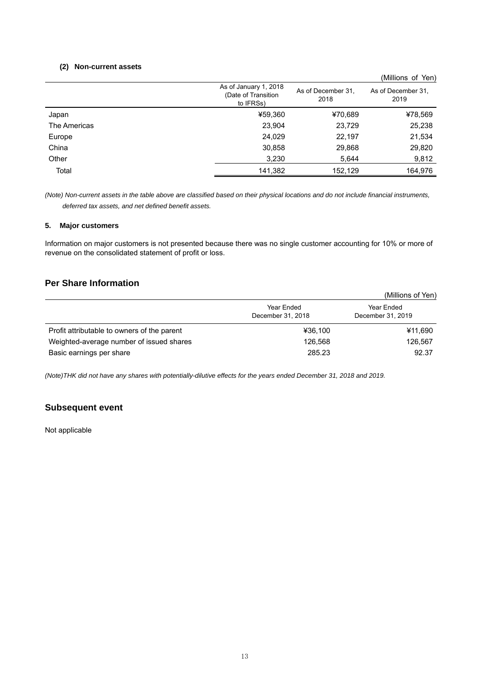#### **(2) Non-current assets**

|              |                                                           |                            | (Millions of Yen)          |
|--------------|-----------------------------------------------------------|----------------------------|----------------------------|
|              | As of January 1, 2018<br>(Date of Transition<br>to IFRSs) | As of December 31,<br>2018 | As of December 31.<br>2019 |
| Japan        | ¥59,360                                                   | ¥70,689                    | ¥78,569                    |
| The Americas | 23,904                                                    | 23,729                     | 25,238                     |
| Europe       | 24,029                                                    | 22,197                     | 21,534                     |
| China        | 30,858                                                    | 29,868                     | 29,820                     |
| Other        | 3,230                                                     | 5,644                      | 9,812                      |
| Total        | 141,382                                                   | 152,129                    | 164,976                    |

*(Note) Non-current assets in the table above are classified based on their physical locations and do not include financial instruments, deferred tax assets, and net defined benefit assets.* 

#### **5. Major customers**

Information on major customers is not presented because there was no single customer accounting for 10% or more of revenue on the consolidated statement of profit or loss.

# **Per Share Information**

|                                             |                                 | (Millions of Yen)               |
|---------------------------------------------|---------------------------------|---------------------------------|
|                                             | Year Ended<br>December 31, 2018 | Year Ended<br>December 31, 2019 |
| Profit attributable to owners of the parent | ¥36.100                         | ¥11,690                         |
| Weighted-average number of issued shares    | 126.568                         | 126,567                         |
| Basic earnings per share                    | 285.23                          | 92.37                           |

*(Note)THK did not have any shares with potentially-dilutive effects for the years ended December 31, 2018 and 2019.* 

# **Subsequent event**

Not applicable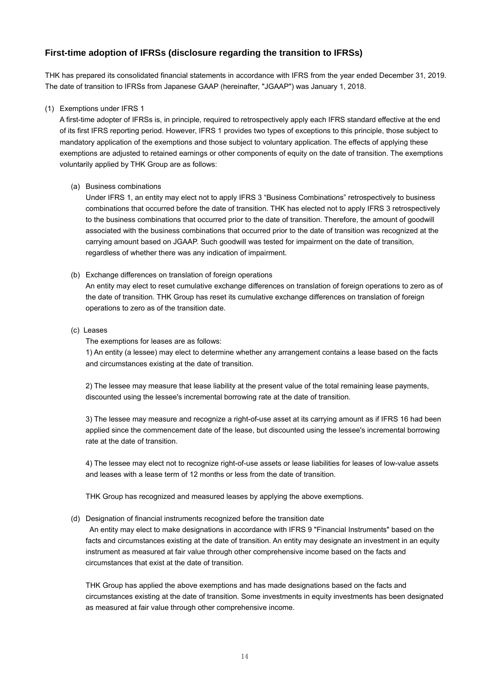# **First-time adoption of IFRSs (disclosure regarding the transition to IFRSs)**

THK has prepared its consolidated financial statements in accordance with IFRS from the year ended December 31, 2019. The date of transition to IFRSs from Japanese GAAP (hereinafter, "JGAAP") was January 1, 2018.

# (1) Exemptions under IFRS 1

A first-time adopter of IFRSs is, in principle, required to retrospectively apply each IFRS standard effective at the end of its first IFRS reporting period. However, IFRS 1 provides two types of exceptions to this principle, those subject to mandatory application of the exemptions and those subject to voluntary application. The effects of applying these exemptions are adjusted to retained earnings or other components of equity on the date of transition. The exemptions voluntarily applied by THK Group are as follows:

# (a) Business combinations

Under IFRS 1, an entity may elect not to apply IFRS 3 "Business Combinations" retrospectively to business combinations that occurred before the date of transition. THK has elected not to apply IFRS 3 retrospectively to the business combinations that occurred prior to the date of transition. Therefore, the amount of goodwill associated with the business combinations that occurred prior to the date of transition was recognized at the carrying amount based on JGAAP. Such goodwill was tested for impairment on the date of transition, regardless of whether there was any indication of impairment.

# (b) Exchange differences on translation of foreign operations

An entity may elect to reset cumulative exchange differences on translation of foreign operations to zero as of the date of transition. THK Group has reset its cumulative exchange differences on translation of foreign operations to zero as of the transition date.

## (c) Leases

The exemptions for leases are as follows:

1) An entity (a lessee) may elect to determine whether any arrangement contains a lease based on the facts and circumstances existing at the date of transition.

2) The lessee may measure that lease liability at the present value of the total remaining lease payments, discounted using the lessee's incremental borrowing rate at the date of transition.

3) The lessee may measure and recognize a right-of-use asset at its carrying amount as if IFRS 16 had been applied since the commencement date of the lease, but discounted using the lessee's incremental borrowing rate at the date of transition.

4) The lessee may elect not to recognize right-of-use assets or lease liabilities for leases of low-value assets and leases with a lease term of 12 months or less from the date of transition.

THK Group has recognized and measured leases by applying the above exemptions.

## (d) Designation of financial instruments recognized before the transition date

 An entity may elect to make designations in accordance with IFRS 9 "Financial Instruments" based on the facts and circumstances existing at the date of transition. An entity may designate an investment in an equity instrument as measured at fair value through other comprehensive income based on the facts and circumstances that exist at the date of transition.

THK Group has applied the above exemptions and has made designations based on the facts and circumstances existing at the date of transition. Some investments in equity investments has been designated as measured at fair value through other comprehensive income.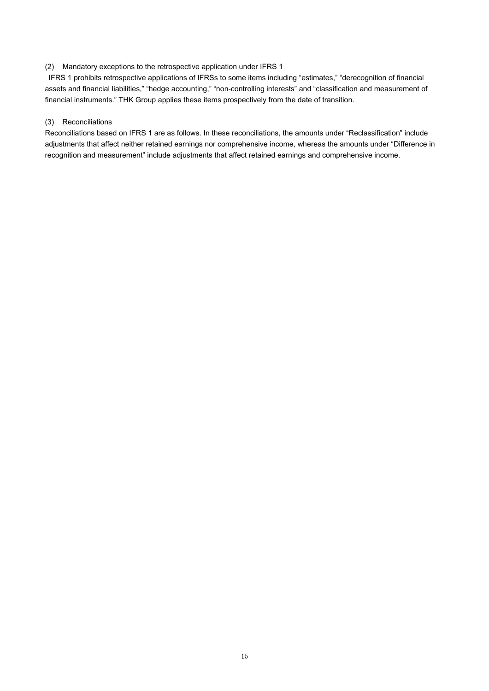#### (2) Mandatory exceptions to the retrospective application under IFRS 1

 IFRS 1 prohibits retrospective applications of IFRSs to some items including "estimates," "derecognition of financial assets and financial liabilities," "hedge accounting," "non-controlling interests" and "classification and measurement of financial instruments." THK Group applies these items prospectively from the date of transition.

# (3) Reconciliations

Reconciliations based on IFRS 1 are as follows. In these reconciliations, the amounts under "Reclassification" include adjustments that affect neither retained earnings nor comprehensive income, whereas the amounts under "Difference in recognition and measurement" include adjustments that affect retained earnings and comprehensive income.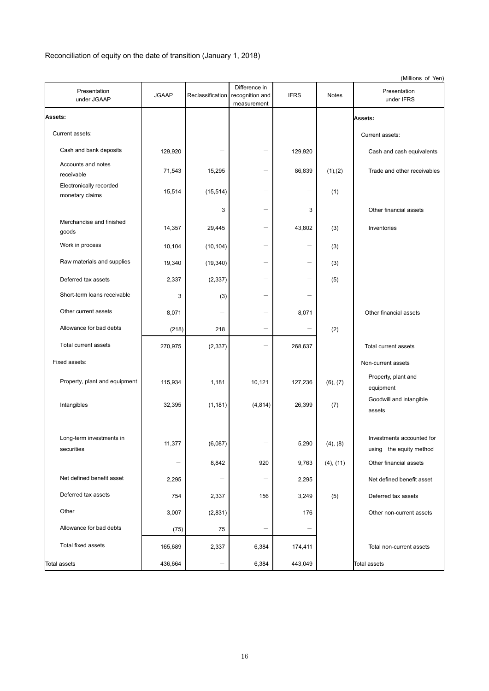# Reconciliation of equity on the date of transition (January 1, 2018)

|                                            |                             |                          |                                                 |                          |                       | (Millions of Yen)                                                              |
|--------------------------------------------|-----------------------------|--------------------------|-------------------------------------------------|--------------------------|-----------------------|--------------------------------------------------------------------------------|
| Presentation<br>under JGAAP                | <b>JGAAP</b>                | Reclassification         | Difference in<br>recognition and<br>measurement | <b>IFRS</b>              | <b>Notes</b>          | Presentation<br>under IFRS                                                     |
| <b>Assets:</b>                             |                             |                          |                                                 |                          |                       | Assets:                                                                        |
| Current assets:                            |                             |                          |                                                 |                          |                       | Current assets:                                                                |
| Cash and bank deposits                     | 129,920                     |                          |                                                 | 129,920                  |                       | Cash and cash equivalents                                                      |
| Accounts and notes<br>receivable           | 71,543                      | 15,295                   |                                                 | 86,839                   | (1),(2)               | Trade and other receivables                                                    |
| Electronically recorded<br>monetary claims | 15,514                      | (15, 514)                | $\overline{\phantom{0}}$                        | $\overline{\phantom{0}}$ | (1)                   |                                                                                |
|                                            |                             | 3                        | $\overline{\phantom{0}}$                        | 3                        |                       | Other financial assets                                                         |
| Merchandise and finished<br>goods          | 14,357                      | 29,445                   |                                                 | 43,802                   | (3)                   | Inventories                                                                    |
| Work in process                            | 10,104                      | (10, 104)                | $\overline{\phantom{0}}$                        | $\overline{\phantom{0}}$ | (3)                   |                                                                                |
| Raw materials and supplies                 | 19,340                      | (19, 340)                | $\overline{\phantom{0}}$                        |                          | (3)                   |                                                                                |
| Deferred tax assets                        | 2,337                       | (2, 337)                 | $\overline{\phantom{0}}$                        | $\overline{\phantom{0}}$ | (5)                   |                                                                                |
| Short-term loans receivable                | 3                           | (3)                      | $\overline{\phantom{0}}$                        |                          |                       |                                                                                |
| Other current assets                       | 8,071                       |                          | $\overline{\phantom{0}}$                        | 8,071                    |                       | Other financial assets                                                         |
| Allowance for bad debts                    | (218)                       | 218                      | $\overline{\phantom{0}}$                        |                          | (2)                   |                                                                                |
| Total current assets                       | 270,975                     | (2, 337)                 |                                                 | 268,637                  |                       | Total current assets                                                           |
| Fixed assets:                              |                             |                          |                                                 |                          |                       | Non-current assets                                                             |
| Property, plant and equipment              | 115,934                     | 1,181                    | 10,121                                          | 127,236                  | (6), (7)              | Property, plant and<br>equipment                                               |
| Intangibles                                | 32,395                      | (1, 181)                 | (4, 814)                                        | 26,399                   | (7)                   | Goodwill and intangible<br>assets                                              |
| Long-term investments in<br>securities     | 11,377<br>$\qquad \qquad -$ | (6,087)<br>8,842         | 920                                             | 5,290<br>9,763           | (4), (8)<br>(4), (11) | Investments accounted for<br>using the equity method<br>Other financial assets |
| Net defined benefit asset                  | 2,295                       | $\overline{\phantom{0}}$ | $\overline{\phantom{0}}$                        | 2,295                    |                       | Net defined benefit asset                                                      |
| Deferred tax assets                        | 754                         | 2,337                    | 156                                             | 3,249                    | (5)                   | Deferred tax assets                                                            |
| Other                                      | 3,007                       | (2,831)                  | $\overline{\phantom{0}}$                        | 176                      |                       | Other non-current assets                                                       |
| Allowance for bad debts                    | (75)                        | 75                       | -                                               | $\qquad \qquad -$        |                       |                                                                                |
| Total fixed assets                         | 165,689                     | 2,337                    | 6,384                                           | 174,411                  |                       | Total non-current assets                                                       |
| Total assets                               | 436,664                     |                          | 6,384                                           | 443,049                  |                       | Total assets                                                                   |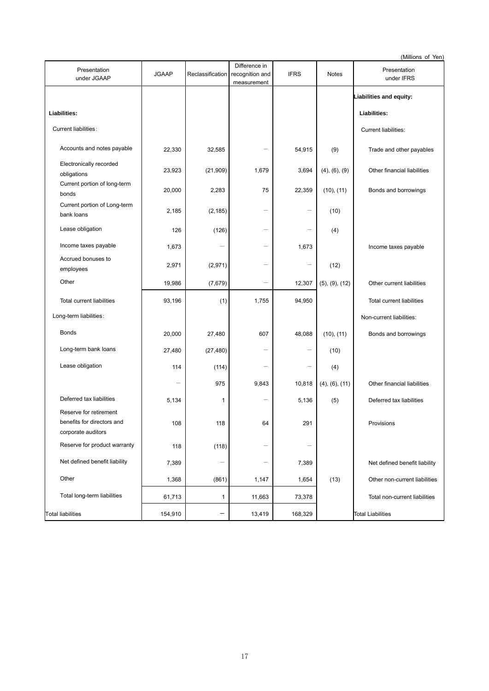(Millions of Yen)

| Presentation<br>under JGAAP                                                | <b>JGAAP</b>             | Reclassification | Difference in<br>recognition and<br>measurement | <b>IFRS</b>              | <b>Notes</b>           | Presentation<br>under IFRS    |
|----------------------------------------------------------------------------|--------------------------|------------------|-------------------------------------------------|--------------------------|------------------------|-------------------------------|
|                                                                            |                          |                  |                                                 |                          |                        | Liabilities and equity:       |
| Liabilities:                                                               |                          |                  |                                                 |                          |                        | Liabilities:                  |
| Current liabilities:                                                       |                          |                  |                                                 |                          |                        | Current liabilities:          |
| Accounts and notes payable                                                 | 22,330                   | 32,585           |                                                 | 54,915                   | (9)                    | Trade and other payables      |
| Electronically recorded<br>obligations                                     | 23,923                   | (21, 909)        | 1,679                                           | 3,694                    | (4), (6), (9)          | Other financial liabilities   |
| Current portion of long-term<br>bonds                                      | 20,000                   | 2,283            | 75                                              | 22,359                   | (10), (11)             | Bonds and borrowings          |
| Current portion of Long-term<br>bank loans                                 | 2,185                    | (2, 185)         | $\qquad \qquad -$                               | $\overline{\phantom{0}}$ | (10)                   |                               |
| Lease obligation                                                           | 126                      | (126)            |                                                 |                          | (4)                    |                               |
| Income taxes payable                                                       | 1,673                    |                  | $\overline{\phantom{0}}$                        | 1,673                    |                        | Income taxes payable          |
| Accrued bonuses to<br>employees                                            | 2,971                    | (2,971)          | $\overline{\phantom{0}}$                        |                          | (12)                   |                               |
| Other                                                                      | 19,986                   | (7,679)          | $\overline{\phantom{0}}$                        | 12,307                   | $(5)$ , $(9)$ , $(12)$ | Other current liabilities     |
| <b>Total current liabilities</b>                                           | 93,196                   | (1)              | 1,755                                           | 94,950                   |                        | Total current liabilities     |
| Long-term liabilities:                                                     |                          |                  |                                                 |                          |                        | Non-current liabilities:      |
| <b>Bonds</b>                                                               | 20,000                   | 27,480           | 607                                             | 48,088                   | (10), (11)             | Bonds and borrowings          |
| Long-term bank loans                                                       | 27,480                   | (27, 480)        |                                                 |                          | (10)                   |                               |
| Lease obligation                                                           | 114                      | (114)            | $\overline{\phantom{0}}$                        |                          | (4)                    |                               |
|                                                                            | $\overline{\phantom{0}}$ | 975              | 9,843                                           | 10,818                   | $(4)$ , $(6)$ , $(11)$ | Other financial liabilities   |
| Deferred tax liabilities                                                   | 5,134                    | 1                | $\overline{\phantom{0}}$                        | 5,136                    | (5)                    | Deferred tax liabilities      |
| Reserve for retirement<br>benefits for directors and<br>corporate auditors | 108                      | 118              | 64                                              | 291                      |                        | Provisions                    |
| Reserve for product warranty                                               | 118                      | (118)            |                                                 |                          |                        |                               |
| Net defined benefit liability                                              | 7,389                    |                  | $\overline{\phantom{0}}$                        | 7,389                    |                        | Net defined benefit liability |
| Other                                                                      | 1,368                    | (861)            | 1,147                                           | 1,654                    | (13)                   | Other non-current liabilities |
| Total long-term liabilities                                                | 61,713                   | 1                | 11,663                                          | 73,378                   |                        | Total non-current liabilities |
| Total liabilities                                                          | 154,910                  |                  | 13,419                                          | 168,329                  |                        | <b>Total Liabilities</b>      |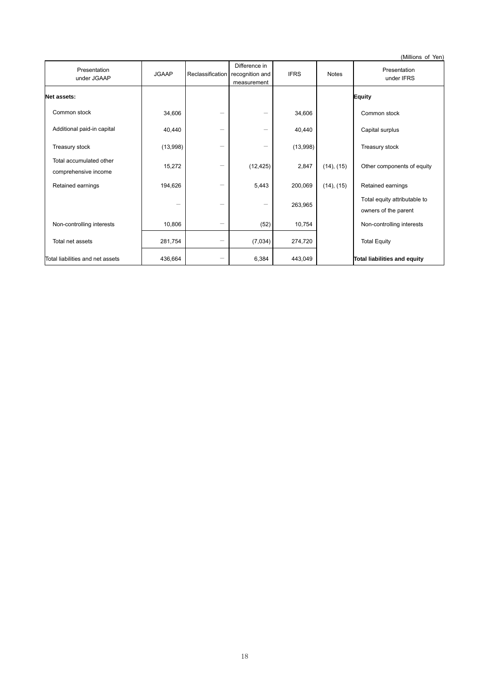(Millions of Yen) Presentation Presentation<br>
under JGAAP JGAAP Reclassification Difference in recognition and measurement IFRS Notes Presentation under IFRS **Net assets: Equity**  Common stock  $34,606$  -  $34,606$  Common stock Additional paid-in capital  $40,440$   $40,440$   $40,440$  Capital surplus Treasury stock  $(13,998)$   $(13,998)$   $(13,998)$  Treasury stock Total accumulated other comprehensive income 15,272  $(12,425)$   $(2,847)$   $(14)$ ,  $(15)$  Other components of equity Retained earnings 194,626  $-$  5,443 200,069 (14), (15) Retained earnings  $-$  263,965 Total equity attributable to owners of the parent Non-controlling interests  $10,806$   $(52)$   $10,754$  Non-controlling interests Total net assets  $281,754$   $(7,034)$   $274,720$  Total Equity Total liabilities and net assets  $\begin{array}{|c|c|c|c|c|}\n\hline\n\text{436,664} & - & 6,384 & 443,049 & \text{Total liabilities and equity}\n\hline\n\end{array}$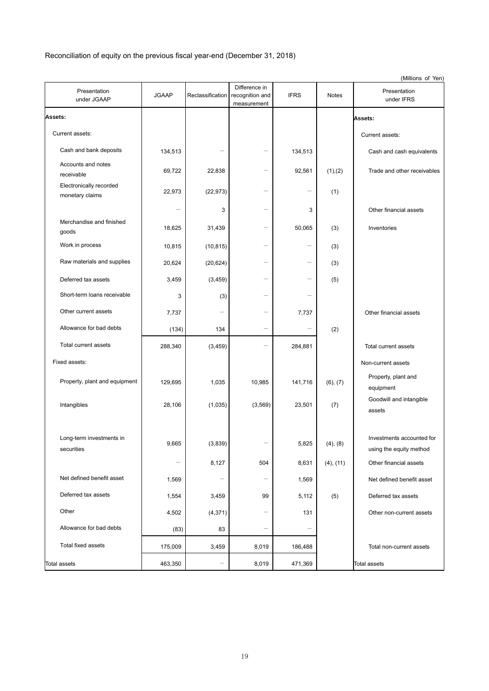Reconciliation of equity on the previous fiscal year-end (December 31, 2018)

|                                            |                            |                  |                                                 |                |                       | (Millions of Yen)                                                              |
|--------------------------------------------|----------------------------|------------------|-------------------------------------------------|----------------|-----------------------|--------------------------------------------------------------------------------|
| Presentation<br>under JGAAP                | <b>JGAAP</b>               | Reclassification | Difference in<br>recognition and<br>measurement | <b>IFRS</b>    | <b>Notes</b>          | Presentation<br>under IFRS                                                     |
| Assets:                                    |                            |                  |                                                 |                |                       | Assets:                                                                        |
| Current assets:                            |                            |                  |                                                 |                |                       | Current assets:                                                                |
| Cash and bank deposits                     | 134,513                    |                  |                                                 | 134,513        |                       | Cash and cash equivalents                                                      |
| Accounts and notes<br>receivable           | 69,722                     | 22,838           |                                                 | 92,561         | (1),(2)               | Trade and other receivables                                                    |
| Electronically recorded<br>monetary claims | 22,973                     | (22, 973)        | $\overline{\phantom{0}}$                        |                | (1)                   |                                                                                |
|                                            |                            | 3                |                                                 | 3              |                       | Other financial assets                                                         |
| Merchandise and finished<br>goods          | 18,625                     | 31,439           |                                                 | 50,065         | (3)                   | Inventories                                                                    |
| Work in process                            | 10,815                     | (10, 815)        |                                                 |                | (3)                   |                                                                                |
| Raw materials and supplies                 | 20,624                     | (20, 624)        |                                                 |                | (3)                   |                                                                                |
| Deferred tax assets                        | 3,459                      | (3, 459)         |                                                 |                | (5)                   |                                                                                |
| Short-term loans receivable                | 3                          | (3)              |                                                 |                |                       |                                                                                |
| Other current assets                       | 7,737                      |                  |                                                 | 7,737          |                       | Other financial assets                                                         |
| Allowance for bad debts                    | (134)                      | 134              | $\overline{\phantom{0}}$                        |                | (2)                   |                                                                                |
| Total current assets                       | 288,340                    | (3, 459)         |                                                 | 284,881        |                       | Total current assets                                                           |
| Fixed assets:                              |                            |                  |                                                 |                |                       | Non-current assets                                                             |
| Property, plant and equipment              | 129,695                    | 1,035            | 10,985                                          | 141,716        | (6), (7)              | Property, plant and<br>equipment                                               |
| Intangibles                                | 28,106                     | (1,035)          | (3, 569)                                        | 23,501         | (7)                   | Goodwill and intangible<br>assets                                              |
| Long-term investments in<br>securities     | 9,665<br>$\qquad \qquad -$ | (3,839)<br>8,127 | 504                                             | 5,825<br>8,631 | (4), (8)<br>(4), (11) | Investments accounted for<br>using the equity method<br>Other financial assets |
| Net defined benefit asset                  | 1,569                      |                  |                                                 | 1,569          |                       | Net defined benefit asset                                                      |
| Deferred tax assets                        | 1,554                      | 3,459            | 99                                              | 5,112          | (5)                   | Deferred tax assets                                                            |
| Other                                      | 4,502                      | (4, 371)         |                                                 | 131            |                       | Other non-current assets                                                       |
| Allowance for bad debts                    | (83)                       | 83               |                                                 |                |                       |                                                                                |
| Total fixed assets                         | 175,009                    | 3,459            | 8,019                                           | 186,488        |                       | Total non-current assets                                                       |
| <b>Total assets</b>                        | 463,350                    |                  | 8,019                                           | 471,369        |                       | <b>Total assets</b>                                                            |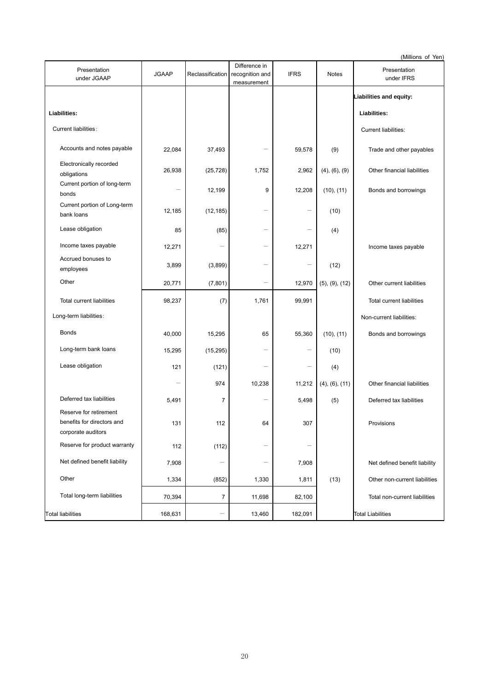(Millions of Yen)

| Presentation<br>under JGAAP                                                | <b>JGAAP</b>             | Reclassification | Difference in<br>recognition and<br>measurement | <b>IFRS</b> | <b>Notes</b>           | Presentation<br>under IFRS    |
|----------------------------------------------------------------------------|--------------------------|------------------|-------------------------------------------------|-------------|------------------------|-------------------------------|
|                                                                            |                          |                  |                                                 |             |                        | Liabilities and equity:       |
| Liabilities:                                                               |                          |                  |                                                 |             |                        | Liabilities:                  |
| Current liabilities:                                                       |                          |                  |                                                 |             |                        | Current liabilities:          |
| Accounts and notes payable                                                 | 22,084                   | 37,493           |                                                 | 59,578      | (9)                    | Trade and other payables      |
| Electronically recorded<br>obligations                                     | 26,938                   | (25, 728)        | 1,752                                           | 2,962       | (4), (6), (9)          | Other financial liabilities   |
| Current portion of long-term<br>bonds                                      | $\qquad \qquad -$        | 12,199           | 9                                               | 12,208      | (10), (11)             | Bonds and borrowings          |
| Current portion of Long-term<br>bank loans                                 | 12,185                   | (12, 185)        | $\qquad \qquad -$                               |             | (10)                   |                               |
| Lease obligation                                                           | 85                       | (85)             |                                                 |             | (4)                    |                               |
| Income taxes payable                                                       | 12,271                   |                  | $\overline{\phantom{0}}$                        | 12,271      |                        | Income taxes payable          |
| Accrued bonuses to<br>employees                                            | 3,899                    | (3,899)          | $\overline{\phantom{0}}$                        |             | (12)                   |                               |
| Other                                                                      | 20,771                   | (7, 801)         | $\overline{\phantom{0}}$                        | 12,970      | $(5)$ , $(9)$ , $(12)$ | Other current liabilities     |
| <b>Total current liabilities</b>                                           | 98,237                   | (7)              | 1,761                                           | 99,991      |                        | Total current liabilities     |
| Long-term liabilities:                                                     |                          |                  |                                                 |             |                        | Non-current liabilities:      |
| <b>Bonds</b>                                                               | 40,000                   | 15,295           | 65                                              | 55,360      | (10), (11)             | Bonds and borrowings          |
| Long-term bank loans                                                       | 15,295                   | (15, 295)        |                                                 |             | (10)                   |                               |
| Lease obligation                                                           | 121                      | (121)            | $\overline{\phantom{0}}$                        |             | (4)                    |                               |
|                                                                            | $\overline{\phantom{0}}$ | 974              | 10,238                                          | 11,212      | $(4)$ , $(6)$ , $(11)$ | Other financial liabilities   |
| Deferred tax liabilities                                                   | 5,491                    | $\overline{7}$   | $\overline{\phantom{0}}$                        | 5,498       | (5)                    | Deferred tax liabilities      |
| Reserve for retirement<br>benefits for directors and<br>corporate auditors | 131                      | 112              | 64                                              | 307         |                        | Provisions                    |
| Reserve for product warranty                                               | 112                      | (112)            |                                                 |             |                        |                               |
| Net defined benefit liability                                              | 7,908                    |                  | $\overline{\phantom{0}}$                        | 7,908       |                        | Net defined benefit liability |
| Other                                                                      | 1,334                    | (852)            | 1,330                                           | 1,811       | (13)                   | Other non-current liabilities |
| Total long-term liabilities                                                | 70,394                   | 7                | 11,698                                          | 82,100      |                        | Total non-current liabilities |
| <b>Total liabilities</b>                                                   | 168,631                  |                  | 13,460                                          | 182,091     |                        | <b>Total Liabilities</b>      |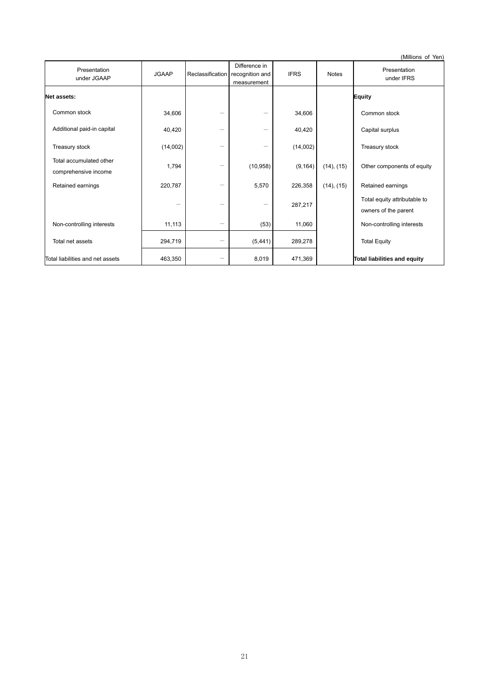(Millions of Yen) Presentation Presentation<br>
under JGAAP JGAAP Reclassification Difference in recognition and measurement IFRS Notes Presentation under IFRS **Net assets: Equity**  Common stock  $34,606$  -  $34,606$  Common stock Additional paid-in capital  $40,420$   $40,420$   $40,420$ Treasury stock  $(14,002)$   $(14,002)$  Treasury stock Total accumulated other comprehensive income 1,794  $(10,958)$   $(9,164)$   $(14)$ ,  $(15)$  Other components of equity Retained earnings  $220,787$   $5,570$   $226,358$   $(14)$ ,  $(15)$  Retained earnings  $-$  287,217 Total equity attributable to owners of the parent Non-controlling interests  $11,113$   $(53)$   $11,060$  Non-controlling interests Total net assets 294,719  $-$  (5,441) 289,278 Total Equity Total liabilities and net assets  $\begin{vmatrix} 463,350 \end{vmatrix}$   $\begin{vmatrix} -1 & 8,019 \end{vmatrix}$  471,369  $\begin{vmatrix} 471,369 \end{vmatrix}$  Total liabilities and equity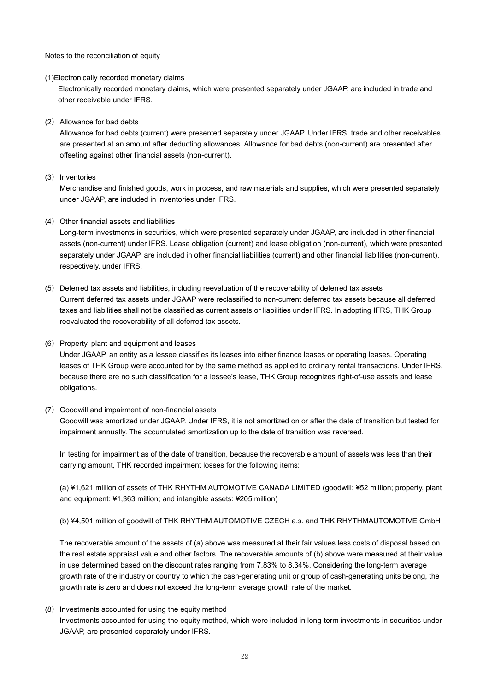Notes to the reconciliation of equity

#### (1)Electronically recorded monetary claims

Electronically recorded monetary claims, which were presented separately under JGAAP, are included in trade and other receivable under IFRS.

#### (2) Allowance for bad debts

Allowance for bad debts (current) were presented separately under JGAAP. Under IFRS, trade and other receivables are presented at an amount after deducting allowances. Allowance for bad debts (non-current) are presented after offseting against other financial assets (non-current).

#### (3) Inventories

Merchandise and finished goods, work in process, and raw materials and supplies, which were presented separately under JGAAP, are included in inventories under IFRS.

## (4) Other financial assets and liabilities

Long-term investments in securities, which were presented separately under JGAAP, are included in other financial assets (non-current) under IFRS. Lease obligation (current) and lease obligation (non-current), which were presented separately under JGAAP, are included in other financial liabilities (current) and other financial liabilities (non-current), respectively, under IFRS.

(5) Deferred tax assets and liabilities, including reevaluation of the recoverability of deferred tax assets Current deferred tax assets under JGAAP were reclassified to non-current deferred tax assets because all deferred taxes and liabilities shall not be classified as current assets or liabilities under IFRS. In adopting IFRS, THK Group reevaluated the recoverability of all deferred tax assets.

#### (6) Property, plant and equipment and leases

Under JGAAP, an entity as a lessee classifies its leases into either finance leases or operating leases. Operating leases of THK Group were accounted for by the same method as applied to ordinary rental transactions. Under IFRS, because there are no such classification for a lessee's lease, THK Group recognizes right-of-use assets and lease obligations.

#### (7) Goodwill and impairment of non-financial assets

Goodwill was amortized under JGAAP. Under IFRS, it is not amortized on or after the date of transition but tested for impairment annually. The accumulated amortization up to the date of transition was reversed.

In testing for impairment as of the date of transition, because the recoverable amount of assets was less than their carrying amount, THK recorded impairment losses for the following items:

(a) ¥1,621 million of assets of THK RHYTHM AUTOMOTIVE CANADA LIMITED (goodwill: ¥52 million; property, plant and equipment: ¥1,363 million; and intangible assets: ¥205 million)

(b) ¥4,501 million of goodwill of THK RHYTHM AUTOMOTIVE CZECH a.s. and THK RHYTHMAUTOMOTIVE GmbH

The recoverable amount of the assets of (a) above was measured at their fair values less costs of disposal based on the real estate appraisal value and other factors. The recoverable amounts of (b) above were measured at their value in use determined based on the discount rates ranging from 7.83% to 8.34%. Considering the long-term average growth rate of the industry or country to which the cash-generating unit or group of cash-generating units belong, the growth rate is zero and does not exceed the long-term average growth rate of the market.

## (8) Investments accounted for using the equity method

Investments accounted for using the equity method, which were included in long-term investments in securities under JGAAP, are presented separately under IFRS.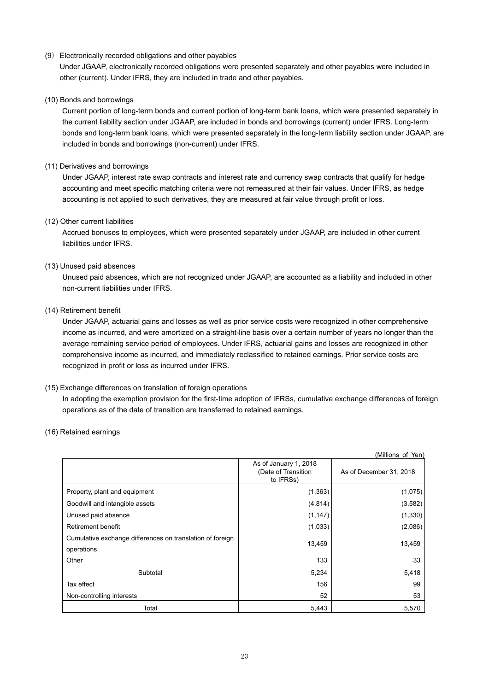# (9) Electronically recorded obligations and other payables

Under JGAAP, electronically recorded obligations were presented separately and other payables were included in other (current). Under IFRS, they are included in trade and other payables.

# (10) Bonds and borrowings

Current portion of long-term bonds and current portion of long-term bank loans, which were presented separately in the current liability section under JGAAP, are included in bonds and borrowings (current) under IFRS. Long-term bonds and long-term bank loans, which were presented separately in the long-term liability section under JGAAP, are included in bonds and borrowings (non-current) under IFRS.

# (11) Derivatives and borrowings

Under JGAAP, interest rate swap contracts and interest rate and currency swap contracts that qualify for hedge accounting and meet specific matching criteria were not remeasured at their fair values. Under IFRS, as hedge accounting is not applied to such derivatives, they are measured at fair value through profit or loss.

## (12) Other current liabilities

Accrued bonuses to employees, which were presented separately under JGAAP, are included in other current liabilities under IFRS.

# (13) Unused paid absences

Unused paid absences, which are not recognized under JGAAP, are accounted as a liability and included in other non-current liabilities under IFRS.

## (14) Retirement benefit

Under JGAAP, actuarial gains and losses as well as prior service costs were recognized in other comprehensive income as incurred, and were amortized on a straight-line basis over a certain number of years no longer than the average remaining service period of employees. Under IFRS, actuarial gains and losses are recognized in other comprehensive income as incurred, and immediately reclassified to retained earnings. Prior service costs are recognized in profit or loss as incurred under IFRS.

# (15) Exchange differences on translation of foreign operations

In adopting the exemption provision for the first-time adoption of IFRSs, cumulative exchange differences of foreign operations as of the date of transition are transferred to retained earnings.

## (16) Retained earnings

|                                                                         |                                                           | (Millions of Yen)       |
|-------------------------------------------------------------------------|-----------------------------------------------------------|-------------------------|
|                                                                         | As of January 1, 2018<br>(Date of Transition<br>to IFRSs) | As of December 31, 2018 |
| Property, plant and equipment                                           | (1, 363)                                                  | (1,075)                 |
| Goodwill and intangible assets                                          | (4, 814)                                                  | (3, 582)                |
| Unused paid absence                                                     | (1, 147)                                                  | (1,330)                 |
| Retirement benefit                                                      | (1,033)                                                   | (2,086)                 |
| Cumulative exchange differences on translation of foreign<br>operations | 13,459                                                    | 13,459                  |
| Other                                                                   | 133                                                       | 33                      |
| Subtotal                                                                | 5,234                                                     | 5,418                   |
| Tax effect                                                              | 156                                                       | 99                      |
| Non-controlling interests                                               | 52                                                        | 53                      |
| Total                                                                   | 5,443                                                     | 5,570                   |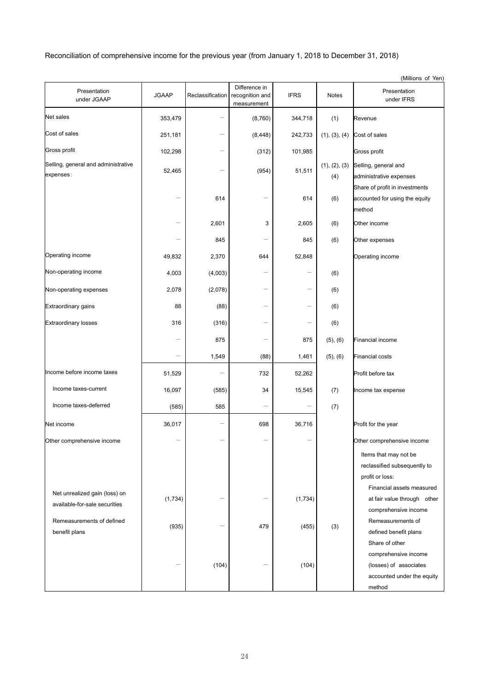Reconciliation of comprehensive income for the previous year (from January 1, 2018 to December 31, 2018)

|                                                                |              |                          |                                                 |                          |                      | (Millions of Yen)                                                                      |
|----------------------------------------------------------------|--------------|--------------------------|-------------------------------------------------|--------------------------|----------------------|----------------------------------------------------------------------------------------|
| Presentation<br>under JGAAP                                    | <b>JGAAP</b> | Reclassification         | Difference in<br>recognition and<br>measurement | <b>IFRS</b>              | <b>Notes</b>         | Presentation<br>under IFRS                                                             |
| Net sales                                                      | 353,479      |                          | (8,760)                                         | 344,718                  | (1)                  | Revenue                                                                                |
| Cost of sales                                                  | 251,181      |                          | (8, 448)                                        | 242,733                  | (1), (3), (4)        | Cost of sales                                                                          |
| Gross profit                                                   | 102,298      |                          | (312)                                           | 101,985                  |                      | Gross profit                                                                           |
| Selling, general and administrative<br>expenses:               | 52,465       | $\overline{\phantom{0}}$ | (954)                                           | 51,511                   | (1), (2), (3)<br>(4) | Selling, general and<br>administrative expenses<br>Share of profit in investments      |
|                                                                |              | 614                      | —                                               | 614                      | (6)                  | accounted for using the equity<br>method                                               |
|                                                                |              | 2,601                    | 3                                               | 2,605                    | (6)                  | Other income                                                                           |
|                                                                |              | 845                      |                                                 | 845                      | (6)                  | Other expenses                                                                         |
| Operating income                                               | 49,832       | 2,370                    | 644                                             | 52,848                   |                      | Operating income                                                                       |
| Non-operating income                                           | 4,003        | (4,003)                  |                                                 |                          | (6)                  |                                                                                        |
| Non-operating expenses                                         | 2,078        | (2,078)                  | —                                               |                          | (6)                  |                                                                                        |
| <b>Extraordinary gains</b>                                     | 88           | (88)                     |                                                 |                          | (6)                  |                                                                                        |
| <b>Extraordinary losses</b>                                    | 316          | (316)                    |                                                 |                          | (6)                  |                                                                                        |
|                                                                |              | 875                      |                                                 | 875                      | (5), (6)             | <b>Financial income</b>                                                                |
|                                                                |              | 1,549                    | (88)                                            | 1,461                    | (5), (6)             | <b>Financial costs</b>                                                                 |
| Income before income taxes                                     | 51,529       |                          | 732                                             | 52,262                   |                      | Profit before tax                                                                      |
| Income taxes-current                                           | 16,097       | (585)                    | 34                                              | 15,545                   | (7)                  | Income tax expense                                                                     |
| Income taxes-deferred                                          | (585)        | 585                      |                                                 | $\overline{\phantom{0}}$ | (7)                  |                                                                                        |
| Net income                                                     | 36,017       |                          | 698                                             | 36,716                   |                      | Profit for the year                                                                    |
| Other comprehensive income                                     |              |                          |                                                 |                          |                      | Other comprehensive income                                                             |
|                                                                |              |                          |                                                 |                          |                      | Items that may not be<br>reclassified subsequently to<br>profit or loss:               |
| Net unrealized gain (loss) on<br>available-for-sale securities | (1,734)      |                          |                                                 | (1,734)                  |                      | Financial assets measured<br>at fair value through other<br>comprehensive income       |
| Remeasurements of defined<br>benefit plans                     | (935)        |                          | 479                                             | (455)                    | (3)                  | Remeasurements of<br>defined benefit plans<br>Share of other                           |
|                                                                |              | (104)                    |                                                 | (104)                    |                      | comprehensive income<br>(losses) of associates<br>accounted under the equity<br>method |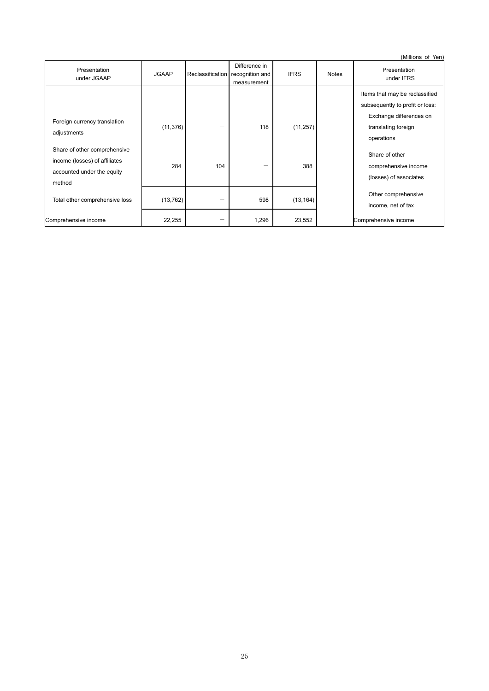(Millions of Yen)

| Presentation<br>under JGAAP                                                                           | <b>JGAAP</b> |     | Difference in<br>Reclassification recognition and<br>measurement | <b>IFRS</b> | <b>Notes</b> | Presentation<br>under IFRS                                                                   |
|-------------------------------------------------------------------------------------------------------|--------------|-----|------------------------------------------------------------------|-------------|--------------|----------------------------------------------------------------------------------------------|
| Foreign currency translation                                                                          |              |     |                                                                  |             |              | Items that may be reclassified<br>subsequently to profit or loss:<br>Exchange differences on |
| adjustments                                                                                           | (11, 376)    |     | 118                                                              | (11, 257)   |              | translating foreign<br>operations                                                            |
| Share of other comprehensive<br>income (losses) of affiliates<br>accounted under the equity<br>method | 284          | 104 |                                                                  | 388         |              | Share of other<br>comprehensive income<br>(losses) of associates                             |
| Total other comprehensive loss                                                                        | (13, 762)    |     | 598                                                              | (13, 164)   |              | Other comprehensive<br>income, net of tax                                                    |
| Comprehensive income                                                                                  | 22,255       |     | 1,296                                                            | 23,552      |              | Comprehensive income                                                                         |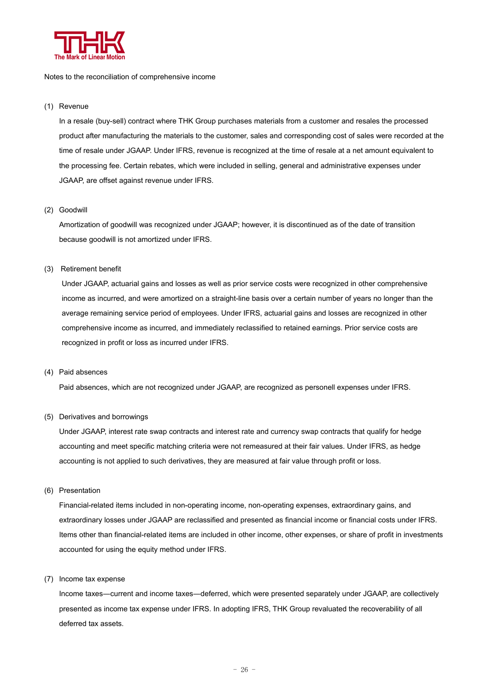

#### Notes to the reconciliation of comprehensive income

#### (1) Revenue

In a resale (buy-sell) contract where THK Group purchases materials from a customer and resales the processed product after manufacturing the materials to the customer, sales and corresponding cost of sales were recorded at the time of resale under JGAAP. Under IFRS, revenue is recognized at the time of resale at a net amount equivalent to the processing fee. Certain rebates, which were included in selling, general and administrative expenses under JGAAP, are offset against revenue under IFRS.

#### (2) Goodwill

Amortization of goodwill was recognized under JGAAP; however, it is discontinued as of the date of transition because goodwill is not amortized under IFRS.

## (3) Retirement benefit

Under JGAAP, actuarial gains and losses as well as prior service costs were recognized in other comprehensive income as incurred, and were amortized on a straight-line basis over a certain number of years no longer than the average remaining service period of employees. Under IFRS, actuarial gains and losses are recognized in other comprehensive income as incurred, and immediately reclassified to retained earnings. Prior service costs are recognized in profit or loss as incurred under IFRS.

#### (4) Paid absences

Paid absences, which are not recognized under JGAAP, are recognized as personell expenses under IFRS.

## (5) Derivatives and borrowings

Under JGAAP, interest rate swap contracts and interest rate and currency swap contracts that qualify for hedge accounting and meet specific matching criteria were not remeasured at their fair values. Under IFRS, as hedge accounting is not applied to such derivatives, they are measured at fair value through profit or loss.

(6) Presentation

Financial-related items included in non-operating income, non-operating expenses, extraordinary gains, and extraordinary losses under JGAAP are reclassified and presented as financial income or financial costs under IFRS. Items other than financial-related items are included in other income, other expenses, or share of profit in investments accounted for using the equity method under IFRS.

(7) Income tax expense

Income taxes―current and income taxes―deferred, which were presented separately under JGAAP, are collectively presented as income tax expense under IFRS. In adopting IFRS, THK Group revaluated the recoverability of all deferred tax assets.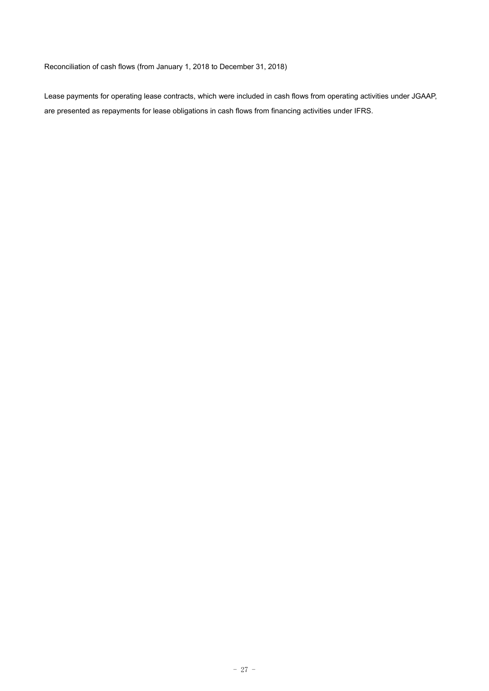Reconciliation of cash flows (from January 1, 2018 to December 31, 2018)

Lease payments for operating lease contracts, which were included in cash flows from operating activities under JGAAP, are presented as repayments for lease obligations in cash flows from financing activities under IFRS.